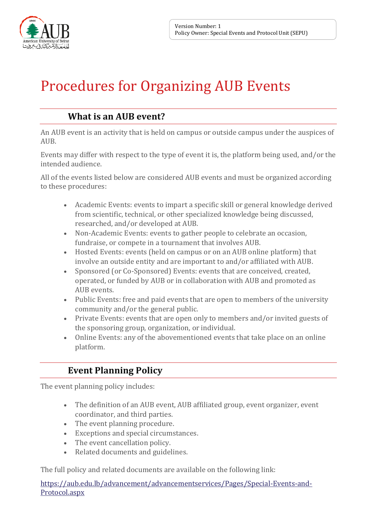

<u>Professor (</u>

# Procedures for Organizing AUB Events

## **What is an AUB event?**

An AUB event is an activity that is held on campus or outside campus under the auspices of AUB.

Events may differ with respect to the type of event it is, the platform being used, and/or the intended audience.

All of the events listed below are considered AUB events and must be organized according to these procedures:

- Academic Events: events to impart a specific skill or general knowledge derived from scientific, technical, or other specialized knowledge being discussed, researched, and/or developed at AUB.
- Non-Academic Events: events to gather people to celebrate an occasion, fundraise, or compete in a tournament that involves AUB.
- Hosted Events: events (held on campus or on an AUB online platform) that involve an outside entity and are important to and/or affiliated with AUB.
- Sponsored (or Co-Sponsored) Events: events that are conceived, created, operated, or funded by AUB or in collaboration with AUB and promoted as AUB events.
- Public Events: free and paid events that are open to members of the university community and/or the general public.
- Private Events: events that are open only to members and/or invited guests of the sponsoring group, organization, or individual.
- Online Events: any of the abovementioned events that take place on an online platform.

## **Event Planning Policy**

The event planning policy includes:

- The definition of an AUB event, AUB affiliated group, event organizer, event coordinator, and third parties.
- The event planning procedure.
- Exceptions and special circumstances.
- The event cancellation policy.
- Related documents and guidelines.

The full policy and related documents are available on the following link:

[https://aub.edu.lb/advancement/advancementservices/Pages/Special-Events-and-](https://aub.edu.lb/Events/Pages/Planningevent.aspx)[Protocol.aspx](https://aub.edu.lb/Events/Pages/Planningevent.aspx)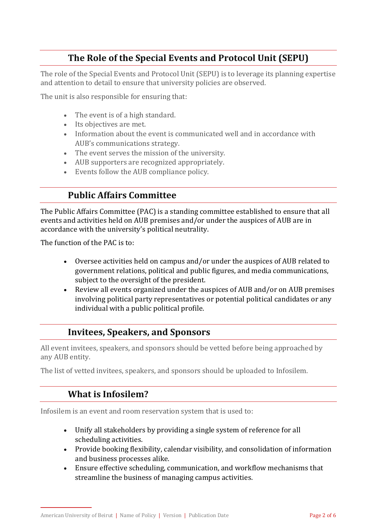## **The Role of the Special Events and Protocol Unit (SEPU)**

The role of the Special Events and Protocol Unit (SEPU) is to leverage its planning expertise and attention to detail to ensure that university policies are observed.

The unit is also responsible for ensuring that:

- The event is of a high standard.
- Its objectives are met.
- Information about the event is communicated well and in accordance with AUB's communications strategy.
- The event serves the mission of the university.
- AUB supporters are recognized appropriately.
- Events follow the AUB compliance policy.

## **Public Affairs Committee**

The Public Affairs Committee (PAC) is a standing committee established to ensure that all events and activities held on AUB premises and/or under the auspices of AUB are in accordance with the university's political neutrality.

The function of the PAC is to:

- Oversee activities held on campus and/or under the auspices of AUB related to government relations, political and public figures, and media communications, subject to the oversight of the president.
- Review all events organized under the auspices of AUB and/or on AUB premises involving political party representatives or potential political candidates or any individual with a public political profile.

#### **Invitees, Speakers, and Sponsors**

All event invitees, speakers, and sponsors should be vetted before being approached by any AUB entity.

The list of vetted invitees, speakers, and sponsors should be uploaded to Infosilem.

#### **What is Infosilem?**

Infosilem is an event and room reservation system that is used to:

- Unify all stakeholders by providing a single system of reference for all scheduling activities.
- Provide booking flexibility, calendar visibility, and consolidation of information and business processes alike.
- Ensure effective scheduling, communication, and workflow mechanisms that streamline the business of managing campus activities.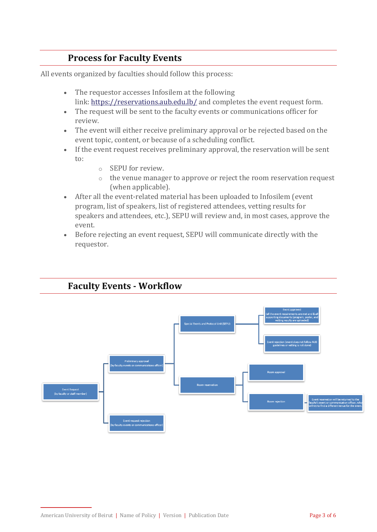## **Process for Faculty Events**

All events organized by faculties should follow this process:

- The requestor accesses Infosilem at the following link: <https://reservations.aub.edu.lb/> and completes the event request form.
- The request will be sent to the faculty events or communications officer for review.
- The event will either receive preliminary approval or be rejected based on the event topic, content, or because of a scheduling conflict.
- If the event request receives preliminary approval, the reservation will be sent to:
	- o SEPU for review.
	- o the venue manager to approve or reject the room reservation request (when applicable).
- After all the event-related material has been uploaded to Infosilem (event program, list of speakers, list of registered attendees, vetting results for speakers and attendees, etc.), SEPU will review and, in most cases, approve the event.
- Before rejecting an event request, SEPU will communicate directly with the requestor.



#### **Faculty Events - Workflow**

American University of Beirut | Name of Policy | Version | Publication Date Page 3 of 6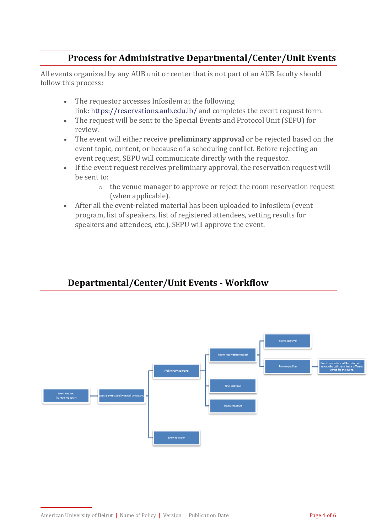## **Process for Administrative Departmental/Center/Unit Events**

All events organized by any AUB unit or center that is not part of an AUB faculty should follow this process:

- The requestor accesses Infosilem at the following link: <https://reservations.aub.edu.lb/> and completes the event request form.
- The request will be sent to the Special Events and Protocol Unit (SEPU) for review.
- The event will either receive **preliminary approval** or be rejected based on the event topic, content, or because of a scheduling conflict. Before rejecting an event request, SEPU will communicate directly with the requestor.
- If the event request receives preliminary approval, the reservation request will be sent to:
	- o the venue manager to approve or reject the room reservation request (when applicable).
- After all the event-related material has been uploaded to Infosilem (event program, list of speakers, list of registered attendees, vetting results for speakers and attendees, etc.), SEPU will approve the event.



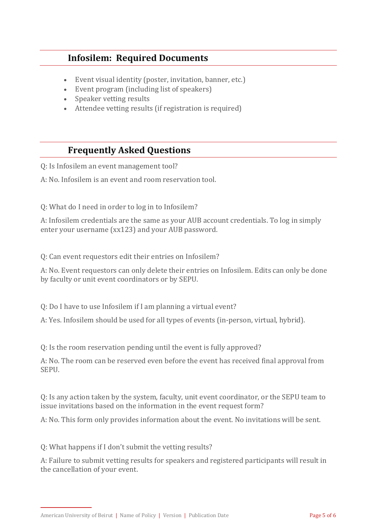### **Infosilem: Required Documents**

- Event visual identity (poster, invitation, banner, etc.)
- Event program (including list of speakers)
- Speaker vetting results
- Attendee vetting results (if registration is required)

## **Frequently Asked Questions**

Q: Is Infosilem an event management tool?

A: No. Infosilem is an event and room reservation tool.

Q: What do I need in order to log in to Infosilem?

A: Infosilem credentials are the same as your AUB account credentials. To log in simply enter your username (xx123) and your AUB password.

Q: Can event requestors edit their entries on Infosilem?

A: No. Event requestors can only delete their entries on Infosilem. Edits can only be done by faculty or unit event coordinators or by SEPU.

Q: Do I have to use Infosilem if I am planning a virtual event?

A: Yes. Infosilem should be used for all types of events (in-person, virtual, hybrid).

Q: Is the room reservation pending until the event is fully approved?

A: No. The room can be reserved even before the event has received final approval from SEPU.

Q: Is any action taken by the system, faculty, unit event coordinator, or the SEPU team to issue invitations based on the information in the event request form?

A: No. This form only provides information about the event. No invitations will be sent.

Q: What happens if I don't submit the vetting results?

A: Failure to submit vetting results for speakers and registered participants will result in the cancellation of your event.